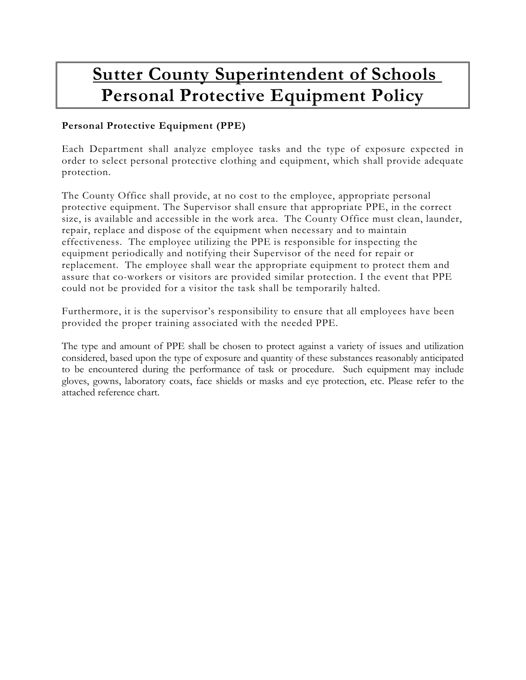## **Sutter County Superintendent of Schools Personal Protective Equipment Policy**

## **Personal Protective Equipment (PPE)**

Each Department shall analyze employee tasks and the type of exposure expected in order to select personal protective clothing and equipment, which shall provide adequate protection.

The County Office shall provide, at no cost to the employee, appropriate personal protective equipment. The Supervisor shall ensure that appropriate PPE, in the correct size, is available and accessible in the work area. The County Office must clean, launder, repair, replace and dispose of the equipment when necessary and to maintain effectiveness. The employee utilizing the PPE is responsible for inspecting the equipment periodically and notifying their Supervisor of the need for repair or replacement. The employee shall wear the appropriate equipment to protect them and assure that co-workers or visitors are provided similar protection. I the event that PPE could not be provided for a visitor the task shall be temporarily halted.

Furthermore, it is the supervisor's responsibility to ensure that all employees have been provided the proper training associated with the needed PPE.

The type and amount of PPE shall be chosen to protect against a variety of issues and utilization considered, based upon the type of exposure and quantity of these substances reasonably anticipated to be encountered during the performance of task or procedure. Such equipment may include gloves, gowns, laboratory coats, face shields or masks and eye protection, etc. Please refer to the attached reference chart.